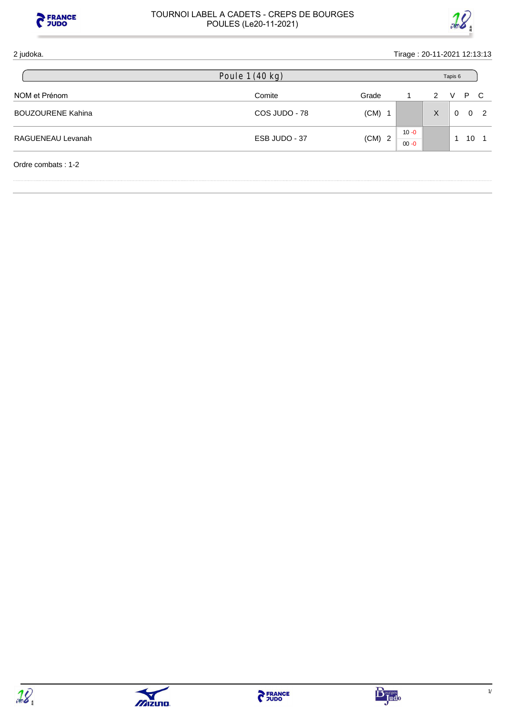



# 2 judoka. Tirage : 20-11-2021 12:13:13 NOM et Prénom and the Comite Comite Comite Community Community Community Community Community Community Community Community Community Community Community Community Community Community Community Community Community Community BOUZOURENE Kahina **BOUZOURENE Kahina COS JUDO - 78** (CM) 1 X 0 0 2 RAGUENEAU Levanah and the state of the state of the ESB JUDO - 37 (CM) 2  $10 - 0$ 00 -0 1 10 1 Ordre combats : 1-2 Poule 1 (40 kg) Tapis 6





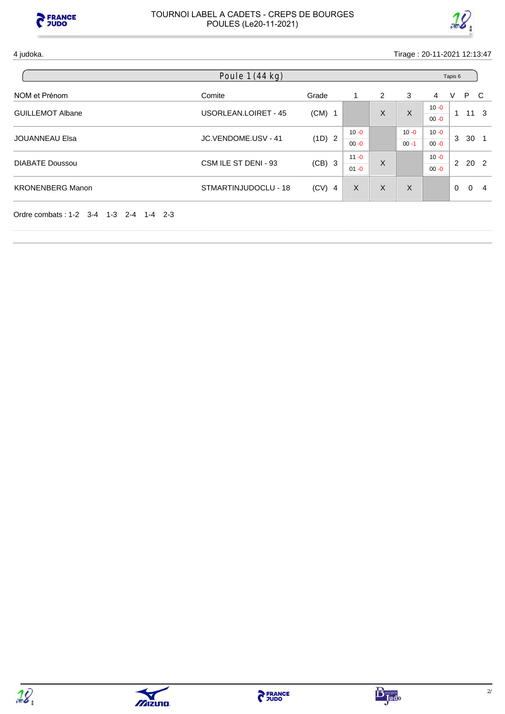



| Poule $1(44 kg)$                       |                      |          |          |                |          |                      | Tapis 6      |                 |                |  |  |
|----------------------------------------|----------------------|----------|----------|----------------|----------|----------------------|--------------|-----------------|----------------|--|--|
| NOM et Prénom                          | Comite               | Grade    | 1        | $\overline{2}$ | 3        | 4                    | V            | P               | - C            |  |  |
| <b>GUILLEMOT Albane</b>                | USORLEAN.LOIRET - 45 | $(CM)$ 1 |          | X              | $\sf X$  | $10 - 0$<br>$00 - 0$ | 1            |                 | $11 \quad 3$   |  |  |
| <b>JOUANNEAU Elsa</b>                  | JC.VENDOME.USV - 41  | (1D) 2   | $10 - 0$ |                | $10 - 0$ | $10 - 0$             | 3            | 30 <sub>1</sub> |                |  |  |
|                                        |                      | $00 - 0$ |          | $00 - 1$       | $00 - 0$ |                      |              |                 |                |  |  |
| <b>DIABATE Doussou</b>                 | CSM ILE ST DENI - 93 | $(CB)$ 3 | $11 - 0$ | X              |          | $10 - 0$             | $\mathbf{2}$ | 20 2            |                |  |  |
|                                        |                      |          |          | $01 - 0$       |          | $00 - 0$             |              |                 |                |  |  |
| <b>KRONENBERG Manon</b>                | STMARTINJUDOCLU - 18 | $(CV)$ 4 | X        | X              | X        |                      | $\mathbf{0}$ | $\Omega$        | $\overline{4}$ |  |  |
| Ordre combats: 1-2 3-4 1-3 2-4 1-4 2-3 |                      |          |          |                |          |                      |              |                 |                |  |  |



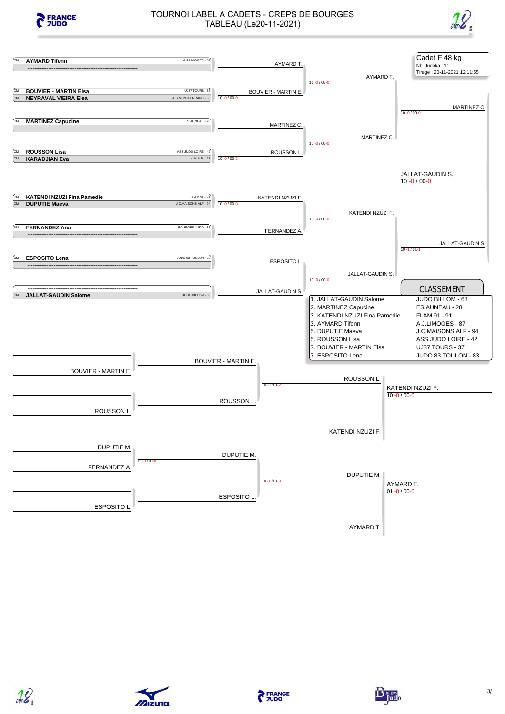







**PERANCE** 







 $\sqrt{2}$ izuno.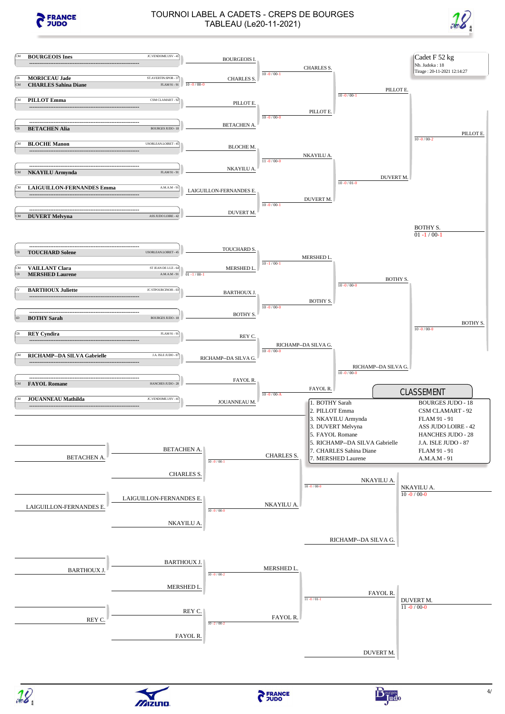







 $\sqrt{2}$ izuno.

Bourges do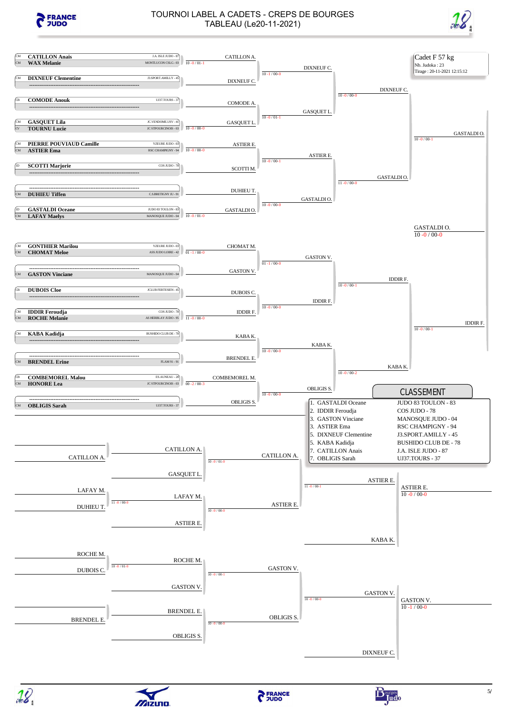







mizuno.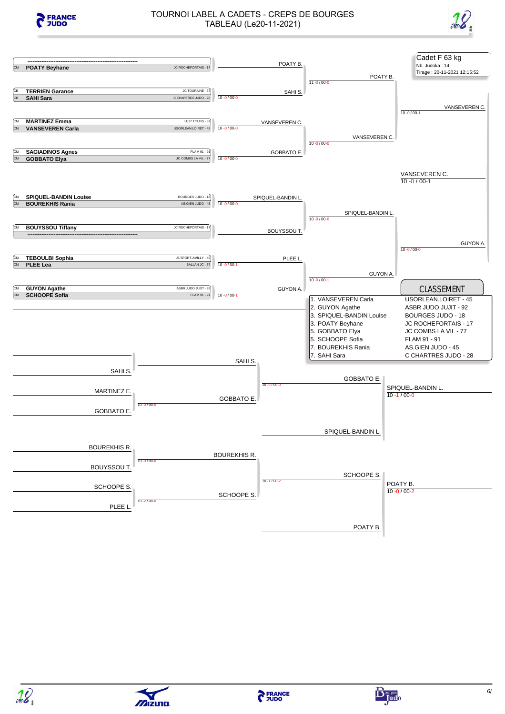









**PERANCE** 

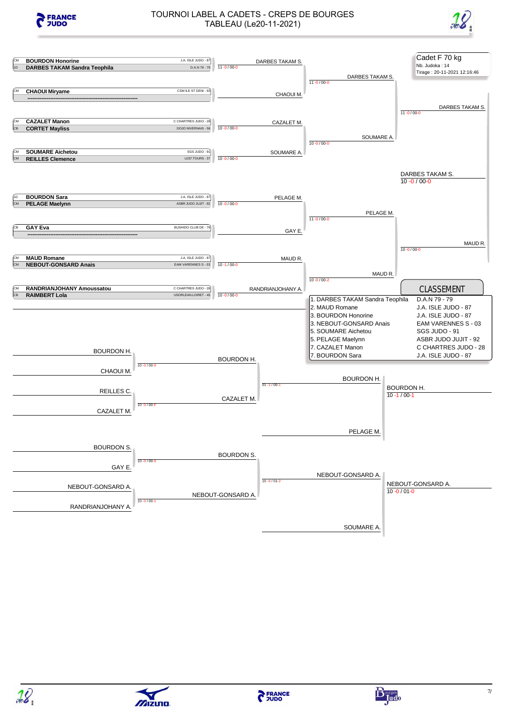







**PERANCE** 





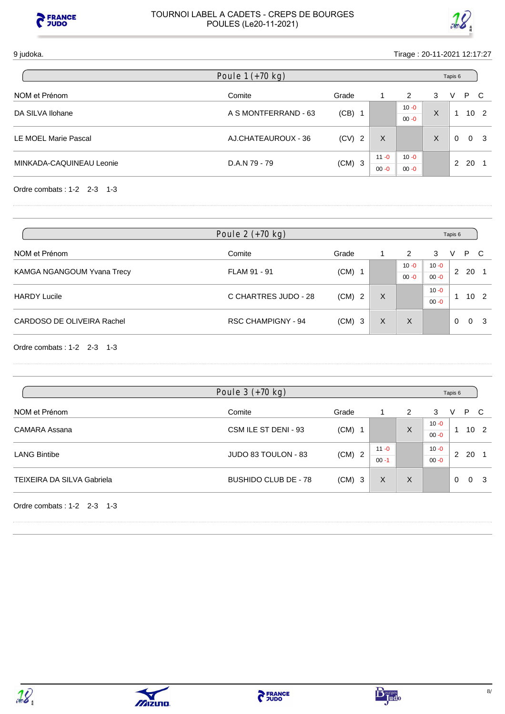



#### 9 judoka. Tirage : 20-11-2021 12:17:27

| Poule $1 (+70 kg)$       |                      |          | Tapis 6  |          |   |   |    |                 |
|--------------------------|----------------------|----------|----------|----------|---|---|----|-----------------|
| NOM et Prénom            | Comite               | Grade    |          | 2        | 3 | V | P  | - C             |
| DA SILVA Ilohane         | A S MONTFERRAND - 63 | (CB)     |          | $10 - 0$ | X |   |    | 10 <sub>2</sub> |
|                          |                      |          |          | $00 - 0$ |   |   |    |                 |
| LE MOEL Marie Pascal     | AJ.CHATEAUROUX - 36  | $(CV)$ 2 | Х        |          | X | 0 |    | 0 <sub>3</sub>  |
|                          |                      |          | $11 - 0$ | $10 - 0$ |   | 2 | 20 |                 |
| MINKADA-CAQUINEAU Leonie | D.A.N 79 - 79        | $(CM)$ 3 | $00 - 0$ | $00 - 0$ |   |   |    |                 |

Ordre combats : 1-2 2-3 1-3

| Poule $2 (+70 kg)$         |                           |          |   | Tapis 6  |          |                 |      |                |
|----------------------------|---------------------------|----------|---|----------|----------|-----------------|------|----------------|
| NOM et Prénom              | Comite                    | Grade    |   | 2        | 3        | V               | P C  |                |
|                            | FLAM 91 - 91              | $(CM)$ 1 |   | $10 - 0$ | $10 - 0$ |                 |      |                |
| KAMGA NGANGOUM Yvana Trecy |                           |          |   | $00 - 0$ | $00 - 0$ | 2               | - 20 |                |
| <b>HARDY Lucile</b>        | C CHARTRES JUDO - 28      |          | X |          | $10 - 0$ | 10 <sub>2</sub> |      |                |
|                            |                           | $(CM)$ 2 |   |          | $00 - 0$ |                 |      |                |
| CARDOSO DE OLIVEIRA Rachel | <b>RSC CHAMPIGNY - 94</b> | $(CM)$ 3 | X | X        |          | $\Omega$        |      | 0 <sub>3</sub> |

Ordre combats : 1-2 2-3 1-3

| Poule $3 (+70 kg)$                |                             |          |                      |   | Tapis 6              |          |          |                 |
|-----------------------------------|-----------------------------|----------|----------------------|---|----------------------|----------|----------|-----------------|
| NOM et Prénom                     | Comite                      | Grade    |                      | 2 | 3                    | V        | P C      |                 |
| <b>CAMARA Assana</b>              | CSM ILE ST DENI - 93        | $(CM)$ 1 |                      | X | $10 - 0$<br>$00 - 0$ | 1        |          | 10 <sub>2</sub> |
| <b>LANG Bintibe</b>               | JUDO 83 TOULON - 83         | $(CM)$ 2 | $11 - 0$<br>$00 - 1$ |   | $10 - 0$<br>$00 - 0$ | 2        | 20       |                 |
| <b>TEIXEIRA DA SILVA Gabriela</b> | <b>BUSHIDO CLUB DE - 78</b> | $(CM)$ 3 | X                    | X |                      | $\Omega$ | $\Omega$ | - 3             |
| Ordre combats: $1-2$ 2-3 1-3      |                             |          |                      |   |                      |          |          |                 |